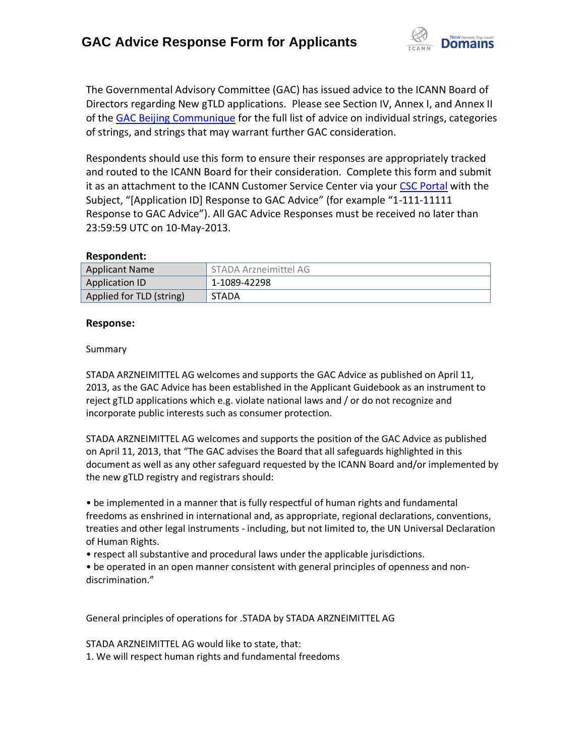

The Governmental Advisory Committee (GAC) has issued advice to the ICANN Board of Directors regarding New gTLD applications. Please see Section IV, Annex I, and Annex II of the [GAC Beijing Communique](http://www.icann.org/en/news/correspondence/gac-to-board-18apr13-en.pdf) for the full list of advice on individual strings, categories of strings, and strings that may warrant further GAC consideration.

Respondents should use this form to ensure their responses are appropriately tracked and routed to the ICANN Board for their consideration. Complete this form and submit it as an attachment to the ICANN Customer Service Center via your CSC [Portal](https://myicann.secure.force.com/) with the Subject, "[Application ID] Response to GAC Advice" (for example "1-111-11111 Response to GAC Advice"). All GAC Advice Responses must be received no later than 23:59:59 UTC on 10-May-2013.

## **Respondent:**

| <b>Applicant Name</b>    | STADA Arzneimittel AG |
|--------------------------|-----------------------|
| <b>Application ID</b>    | 1-1089-42298          |
| Applied for TLD (string) | <b>STADA</b>          |

## **Response:**

#### Summary

STADA ARZNEIMITTEL AG welcomes and supports the GAC Advice as published on April 11, 2013, as the GAC Advice has been established in the Applicant Guidebook as an instrument to reject gTLD applications which e.g. violate national laws and / or do not recognize and incorporate public interests such as consumer protection.

STADA ARZNEIMITTEL AG welcomes and supports the position of the GAC Advice as published on April 11, 2013, that "The GAC advises the Board that all safeguards highlighted in this document as well as any other safeguard requested by the ICANN Board and/or implemented by the new gTLD registry and registrars should:

• be implemented in a manner that is fully respectful of human rights and fundamental freedoms as enshrined in international and, as appropriate, regional declarations, conventions, treaties and other legal instruments - including, but not limited to, the UN Universal Declaration of Human Rights.

• respect all substantive and procedural laws under the applicable jurisdictions.

• be operated in an open manner consistent with general principles of openness and non‐ discrimination."

General principles of operations for .STADA by STADA ARZNEIMITTEL AG

STADA ARZNEIMITTEL AG would like to state, that: 1. We will respect human rights and fundamental freedoms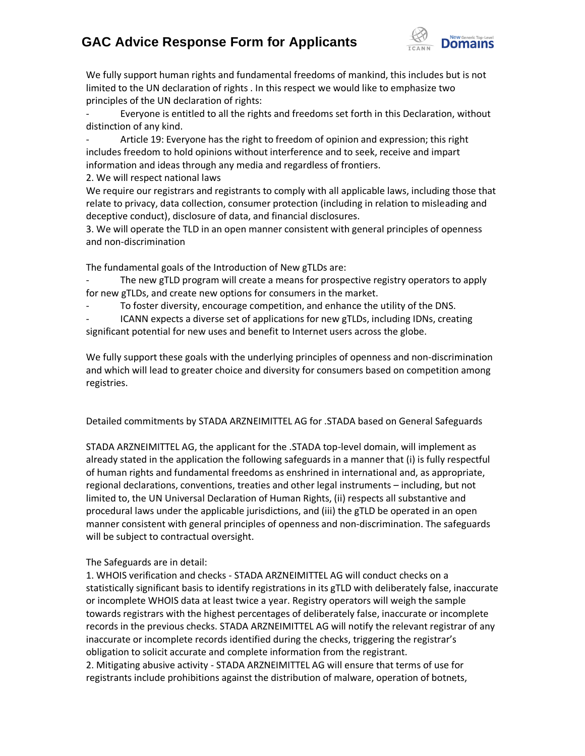# **GAC Advice Response Form for Applicants**



We fully support human rights and fundamental freedoms of mankind, this includes but is not limited to the UN declaration of rights . In this respect we would like to emphasize two principles of the UN declaration of rights:

Everyone is entitled to all the rights and freedoms set forth in this Declaration, without distinction of any kind.

Article 19: Everyone has the right to freedom of opinion and expression; this right includes freedom to hold opinions without interference and to seek, receive and impart information and ideas through any media and regardless of frontiers.

2. We will respect national laws

We require our registrars and registrants to comply with all applicable laws, including those that relate to privacy, data collection, consumer protection (including in relation to misleading and deceptive conduct), disclosure of data, and financial disclosures.

3. We will operate the TLD in an open manner consistent with general principles of openness and non‐discrimination

The fundamental goals of the Introduction of New gTLDs are:

The new gTLD program will create a means for prospective registry operators to apply for new gTLDs, and create new options for consumers in the market.

To foster diversity, encourage competition, and enhance the utility of the DNS.

ICANN expects a diverse set of applications for new gTLDs, including IDNs, creating significant potential for new uses and benefit to Internet users across the globe.

We fully support these goals with the underlying principles of openness and non-discrimination and which will lead to greater choice and diversity for consumers based on competition among registries.

Detailed commitments by STADA ARZNEIMITTEL AG for .STADA based on General Safeguards

STADA ARZNEIMITTEL AG, the applicant for the .STADA top-level domain, will implement as already stated in the application the following safeguards in a manner that (i) is fully respectful of human rights and fundamental freedoms as enshrined in international and, as appropriate, regional declarations, conventions, treaties and other legal instruments – including, but not limited to, the UN Universal Declaration of Human Rights, (ii) respects all substantive and procedural laws under the applicable jurisdictions, and (iii) the gTLD be operated in an open manner consistent with general principles of openness and non‐discrimination. The safeguards will be subject to contractual oversight.

## The Safeguards are in detail:

1. WHOIS verification and checks - STADA ARZNEIMITTEL AG will conduct checks on a statistically significant basis to identify registrations in its gTLD with deliberately false, inaccurate or incomplete WHOIS data at least twice a year. Registry operators will weigh the sample towards registrars with the highest percentages of deliberately false, inaccurate or incomplete records in the previous checks. STADA ARZNEIMITTEL AG will notify the relevant registrar of any inaccurate or incomplete records identified during the checks, triggering the registrar's obligation to solicit accurate and complete information from the registrant.

2. Mitigating abusive activity - STADA ARZNEIMITTEL AG will ensure that terms of use for registrants include prohibitions against the distribution of malware, operation of botnets,